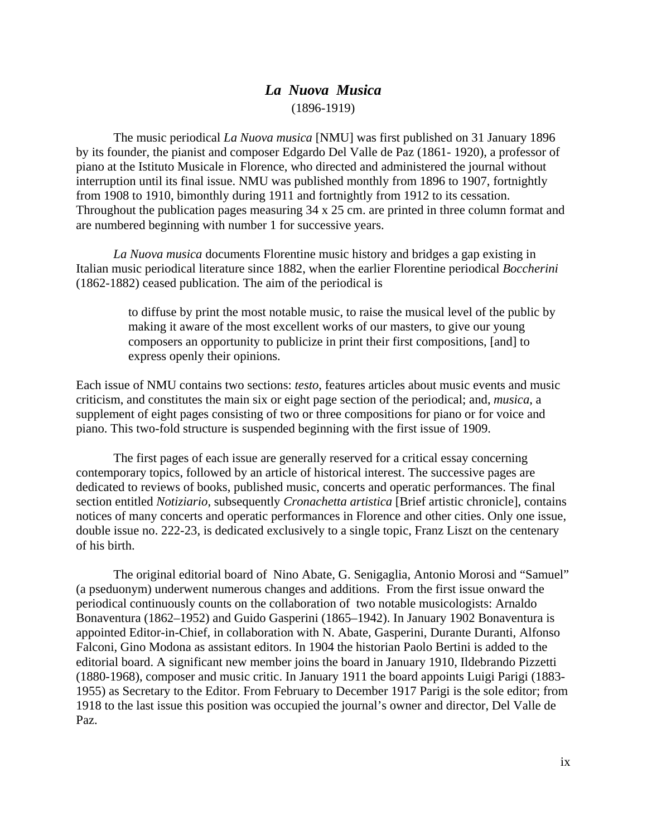## *La Nuova Musica* (1896-1919)

The music periodical *La Nuova musica* [NMU] was first published on 31 January 1896 by its founder, the pianist and composer Edgardo Del Valle de Paz (1861- 1920), a professor of piano at the Istituto Musicale in Florence, who directed and administered the journal without interruption until its final issue. NMU was published monthly from 1896 to 1907, fortnightly from 1908 to 1910, bimonthly during 1911 and fortnightly from 1912 to its cessation. Throughout the publication pages measuring 34 x 25 cm. are printed in three column format and are numbered beginning with number 1 for successive years.

*La Nuova musica* documents Florentine music history and bridges a gap existing in Italian music periodical literature since 1882, when the earlier Florentine periodical *Boccherini* (1862-1882) ceased publication. The aim of the periodical is

> to diffuse by print the most notable music, to raise the musical level of the public by making it aware of the most excellent works of our masters, to give our young composers an opportunity to publicize in print their first compositions, [and] to express openly their opinions.

Each issue of NMU contains two sections: *testo*, features articles about music events and music criticism, and constitutes the main six or eight page section of the periodical; and, *musica*, a supplement of eight pages consisting of two or three compositions for piano or for voice and piano. This two-fold structure is suspended beginning with the first issue of 1909.

The first pages of each issue are generally reserved for a critical essay concerning contemporary topics, followed by an article of historical interest. The successive pages are dedicated to reviews of books, published music, concerts and operatic performances. The final section entitled *Notiziario*, subsequently *Cronachetta artistica* [Brief artistic chronicle], contains notices of many concerts and operatic performances in Florence and other cities. Only one issue, double issue no. 222-23, is dedicated exclusively to a single topic, Franz Liszt on the centenary of his birth.

The original editorial board of Nino Abate, G. Senigaglia, Antonio Morosi and "Samuel" (a pseduonym) underwent numerous changes and additions. From the first issue onward the periodical continuously counts on the collaboration of two notable musicologists: Arnaldo Bonaventura (1862–1952) and Guido Gasperini (1865–1942). In January 1902 Bonaventura is appointed Editor-in-Chief, in collaboration with N. Abate, Gasperini, Durante Duranti, Alfonso Falconi, Gino Modona as assistant editors. In 1904 the historian Paolo Bertini is added to the editorial board. A significant new member joins the board in January 1910, Ildebrando Pizzetti (1880-1968), composer and music critic. In January 1911 the board appoints Luigi Parigi (1883- 1955) as Secretary to the Editor. From February to December 1917 Parigi is the sole editor; from 1918 to the last issue this position was occupied the journal's owner and director, Del Valle de Paz.